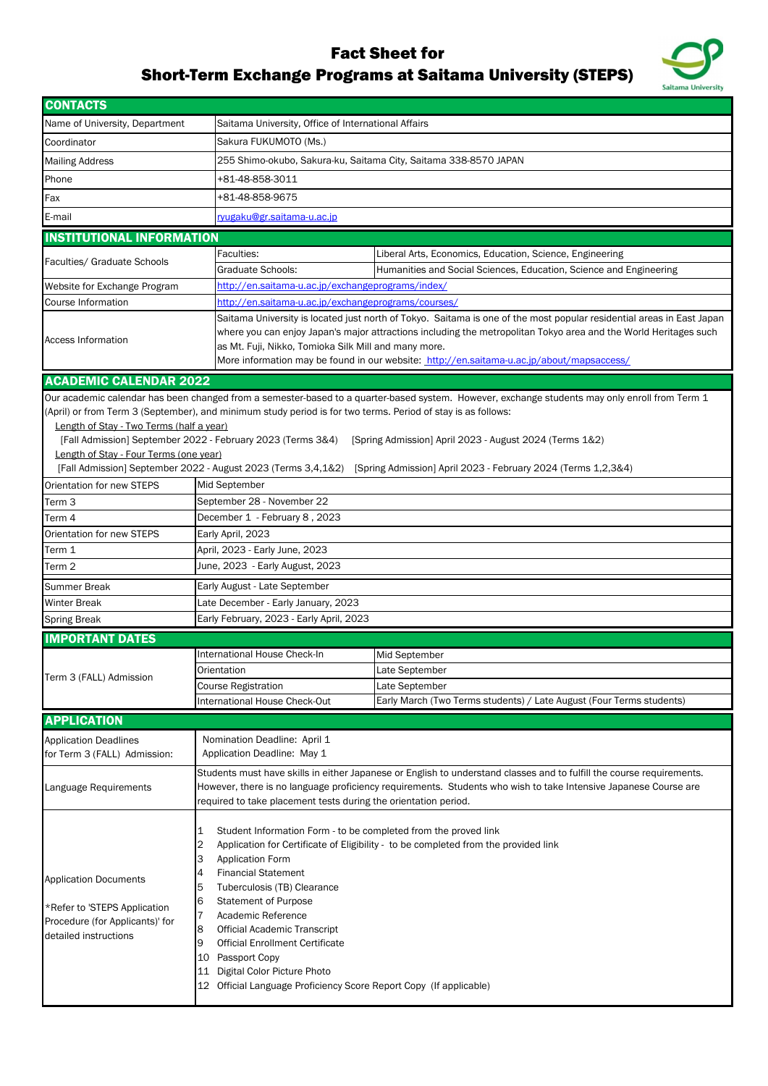Application Documents

\*Refer to 'STEPS Application Procedure (for Applicants)' for detailed instructions

| <b>CONTACTS</b>                                                                                                 |                                                                                                                                                                                                                                                               |                                                                                                                                                                                                                                                                                                                                                                                                |  |  |
|-----------------------------------------------------------------------------------------------------------------|---------------------------------------------------------------------------------------------------------------------------------------------------------------------------------------------------------------------------------------------------------------|------------------------------------------------------------------------------------------------------------------------------------------------------------------------------------------------------------------------------------------------------------------------------------------------------------------------------------------------------------------------------------------------|--|--|
| Name of University, Department                                                                                  |                                                                                                                                                                                                                                                               | Saitama University, Office of International Affairs                                                                                                                                                                                                                                                                                                                                            |  |  |
| Coordinator                                                                                                     | Sakura FUKUMOTO (Ms.)                                                                                                                                                                                                                                         |                                                                                                                                                                                                                                                                                                                                                                                                |  |  |
| <b>Mailing Address</b>                                                                                          |                                                                                                                                                                                                                                                               | 255 Shimo-okubo, Sakura-ku, Saitama City, Saitama 338-8570 JAPAN                                                                                                                                                                                                                                                                                                                               |  |  |
| Phone                                                                                                           | +81-48-858-3011                                                                                                                                                                                                                                               |                                                                                                                                                                                                                                                                                                                                                                                                |  |  |
| Fax                                                                                                             | +81-48-858-9675                                                                                                                                                                                                                                               |                                                                                                                                                                                                                                                                                                                                                                                                |  |  |
| E-mail                                                                                                          | ryugaku@gr.saitama-u.ac.jp                                                                                                                                                                                                                                    |                                                                                                                                                                                                                                                                                                                                                                                                |  |  |
| <b>INSTITUTIONAL INFORMATION</b>                                                                                |                                                                                                                                                                                                                                                               |                                                                                                                                                                                                                                                                                                                                                                                                |  |  |
|                                                                                                                 | Faculties:                                                                                                                                                                                                                                                    | Liberal Arts, Economics, Education, Science, Engineering                                                                                                                                                                                                                                                                                                                                       |  |  |
| Faculties/ Graduate Schools                                                                                     | <b>Graduate Schools:</b>                                                                                                                                                                                                                                      | Humanities and Social Sciences, Education, Science and Engineering                                                                                                                                                                                                                                                                                                                             |  |  |
| http://en.saitama-u.ac.jp/exchangeprograms/index/<br>Website for Exchange Program                               |                                                                                                                                                                                                                                                               |                                                                                                                                                                                                                                                                                                                                                                                                |  |  |
| <b>Course Information</b>                                                                                       |                                                                                                                                                                                                                                                               | http://en.saitama-u.ac.jp/exchangeprograms/courses/                                                                                                                                                                                                                                                                                                                                            |  |  |
| <b>Access Information</b>                                                                                       |                                                                                                                                                                                                                                                               | Saitama University is located just north of Tokyo. Saitama is one of the most popular residential areas in East Japan<br>where you can enjoy Japan's major attractions including the metropolitan Tokyo area and the World Heritages such<br>as Mt. Fuji, Nikko, Tomioka Silk Mill and many more.<br>More information may be found in our website: http://en.saitama-u.ac.jp/about/mapsaccess/ |  |  |
| <b>ACADEMIC CALENDAR 2022</b>                                                                                   |                                                                                                                                                                                                                                                               |                                                                                                                                                                                                                                                                                                                                                                                                |  |  |
| Length of Stay - Two Terms (half a year)<br>Length of Stay - Four Terms (one year)<br>Orientation for new STEPS | (April) or from Term 3 (September), and minimum study period is for two terms. Period of stay is as follows:<br>[Fall Admission] September 2022 - February 2023 (Terms 3&4)<br>[Fall Admission] September 2022 - August 2023 (Terms 3,4,1&2)<br>Mid September | Our academic calendar has been changed from a semester-based to a quarter-based system. However, exchange students may only enroll from Term 1<br>[Spring Admission] April 2023 - August 2024 (Terms 1&2)<br>[Spring Admission] April 2023 - February 2024 (Terms 1,2,3&4)                                                                                                                     |  |  |
| Term <sub>3</sub>                                                                                               | September 28 - November 22                                                                                                                                                                                                                                    |                                                                                                                                                                                                                                                                                                                                                                                                |  |  |
| Term 4                                                                                                          | December 1 - February 8, 2023                                                                                                                                                                                                                                 |                                                                                                                                                                                                                                                                                                                                                                                                |  |  |
| Orientation for new STEPS                                                                                       | Early April, 2023                                                                                                                                                                                                                                             |                                                                                                                                                                                                                                                                                                                                                                                                |  |  |
| Term 1                                                                                                          | April, 2023 - Early June, 2023                                                                                                                                                                                                                                |                                                                                                                                                                                                                                                                                                                                                                                                |  |  |
| Term 2                                                                                                          | June, 2023 - Early August, 2023                                                                                                                                                                                                                               |                                                                                                                                                                                                                                                                                                                                                                                                |  |  |
| <b>Summer Break</b>                                                                                             | Early August - Late September                                                                                                                                                                                                                                 |                                                                                                                                                                                                                                                                                                                                                                                                |  |  |
| <b>Winter Break</b>                                                                                             | Late December - Early January, 2023                                                                                                                                                                                                                           |                                                                                                                                                                                                                                                                                                                                                                                                |  |  |
| <b>Spring Break</b>                                                                                             | Early February, 2023 - Early April, 2023                                                                                                                                                                                                                      |                                                                                                                                                                                                                                                                                                                                                                                                |  |  |
| <b>IMPORTANT DATES</b>                                                                                          |                                                                                                                                                                                                                                                               |                                                                                                                                                                                                                                                                                                                                                                                                |  |  |
| Term 3 (FALL) Admission                                                                                         | <b>International House Check-In</b>                                                                                                                                                                                                                           | Mid September                                                                                                                                                                                                                                                                                                                                                                                  |  |  |
|                                                                                                                 | Orientation                                                                                                                                                                                                                                                   | Late September                                                                                                                                                                                                                                                                                                                                                                                 |  |  |
|                                                                                                                 | <b>Course Registration</b>                                                                                                                                                                                                                                    | Late September                                                                                                                                                                                                                                                                                                                                                                                 |  |  |
|                                                                                                                 | <b>International House Check-Out</b>                                                                                                                                                                                                                          | Early March (Two Terms students) / Late August (Four Terms students)                                                                                                                                                                                                                                                                                                                           |  |  |
| <b>APPLICATION</b>                                                                                              |                                                                                                                                                                                                                                                               |                                                                                                                                                                                                                                                                                                                                                                                                |  |  |
| <b>Application Deadlines</b><br>for Term 3 (FALL) Admission:                                                    | Nomination Deadline: April 1<br>Application Deadline: May 1                                                                                                                                                                                                   |                                                                                                                                                                                                                                                                                                                                                                                                |  |  |
| Language Requirements                                                                                           |                                                                                                                                                                                                                                                               | Students must have skills in either Japanese or English to understand classes and to fulfill the course requirements.<br>However, there is no language proficiency requirements. Students who wish to take Intensive Japanese Course are<br>required to take placement tests during the orientation period.                                                                                    |  |  |
|                                                                                                                 |                                                                                                                                                                                                                                                               | Student Information Form - to be completed from the proved link                                                                                                                                                                                                                                                                                                                                |  |  |

2 Application for Certificate of Eligibility - to be completed from the provided link

- 
- 3 Application Form
- 4 Financial Statement
- 5 Tuberculosis (TB) Clearance
- 6 Statement of Purpose
- 7 Academic Reference
- 8 Official Academic Transcript
- 9 Official Enrollment Certificate
- 10 Passport Copy
- 11 Digital Color Picture Photo
- 12 Official Language Proficiency Score Report Copy (If applicable)

## Fact Sheet for Short-Term Exchange Programs at Saitama University (STEPS)